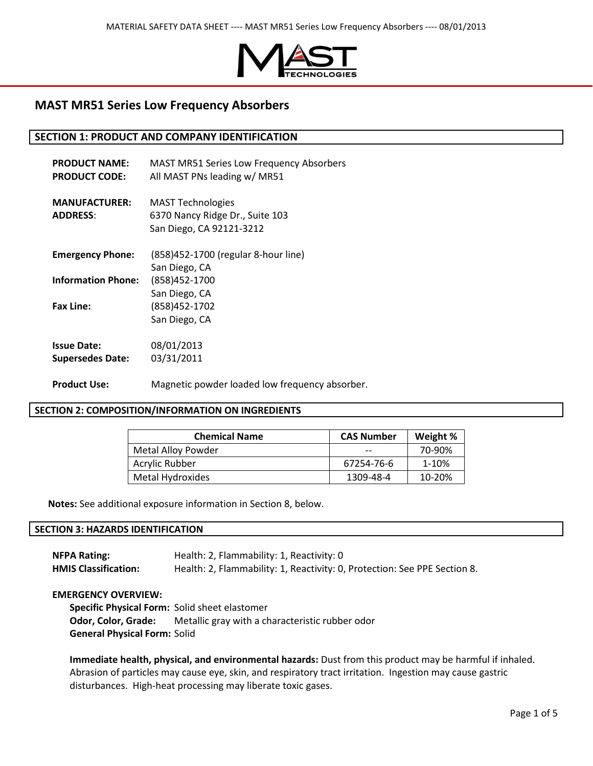

# **MAST MR51 Series Low Frequency Absorbers**

## **SECTION 1: PRODUCT AND COMPANY IDENTIFICATION**

| <b>PRODUCT NAME:</b><br><b>PRODUCT CODE:</b>  | <b>MAST MR51 Series Low Frequency Absorbers</b><br>All MAST PNs leading w/ MR51 |
|-----------------------------------------------|---------------------------------------------------------------------------------|
| <b>MANUFACTURER:</b><br><b>ADDRESS:</b>       | <b>MAST Technologies</b><br>6370 Nancy Ridge Dr., Suite 103                     |
|                                               | San Diego, CA 92121-3212                                                        |
| <b>Emergency Phone:</b>                       | (858)452-1700 (regular 8-hour line)                                             |
| <b>Information Phone:</b>                     | San Diego, CA<br>(858)452-1700                                                  |
| <b>Fax Line:</b>                              | San Diego, CA<br>(858) 452-1702<br>San Diego, CA                                |
| <b>Issue Date:</b><br><b>Supersedes Date:</b> | 08/01/2013<br>03/31/2011                                                        |
| <b>Product Use:</b>                           | Magnetic powder loaded low frequency absorber.                                  |

### **SECTION 2: COMPOSITION/INFORMATION ON INGREDIENTS**

| <b>Chemical Name</b> | <b>CAS Number</b> | Weight % |
|----------------------|-------------------|----------|
| Metal Alloy Powder   |                   | 70-90%   |
| Acrylic Rubber       | 67254-76-6        | 1-10%    |
| Metal Hydroxides     | 1309-48-4         | 10-20%   |

**Notes:** See additional exposure information in Section 8, below.

### **SECTION 3: HAZARDS IDENTIFICATION**

| <b>NFPA Rating:</b>         | Health: 2, Flammability: 1, Reactivity: 0                                 |
|-----------------------------|---------------------------------------------------------------------------|
| <b>HMIS Classification:</b> | Health: 2, Flammability: 1, Reactivity: 0, Protection: See PPE Section 8. |

#### **EMERGENCY OVERVIEW:**

**Specific Physical Form:** Solid sheet elastomer **Odor, Color, Grade:** Metallic gray with a characteristic rubber odor **General Physical Form:** Solid

**Immediate health, physical, and environmental hazards:** Dust from this product may be harmful if inhaled. Abrasion of particles may cause eye, skin, and respiratory tract irritation. Ingestion may cause gastric disturbances. High-heat processing may liberate toxic gases.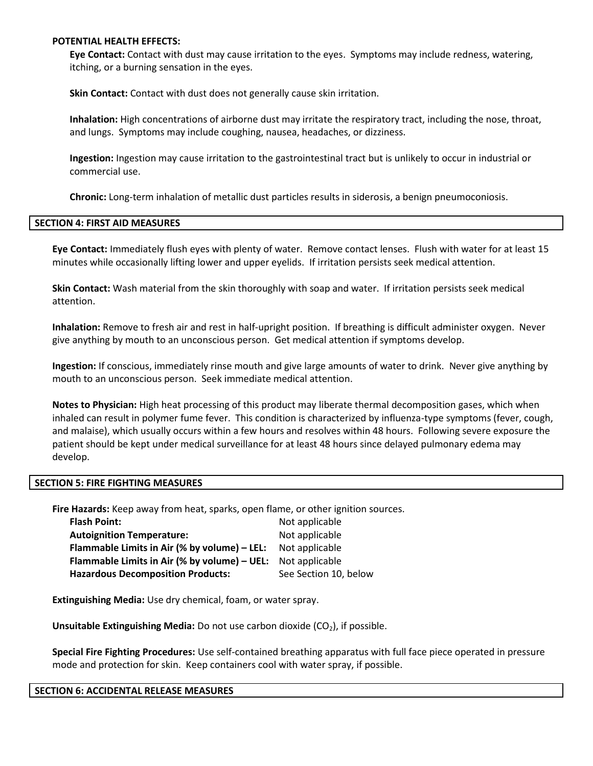### **POTENTIAL HEALTH EFFECTS:**

**Eye Contact:** Contact with dust may cause irritation to the eyes. Symptoms may include redness, watering, itching, or a burning sensation in the eyes.

**Skin Contact:** Contact with dust does not generally cause skin irritation.

**Inhalation:** High concentrations of airborne dust may irritate the respiratory tract, including the nose, throat, and lungs. Symptoms may include coughing, nausea, headaches, or dizziness.

**Ingestion:** Ingestion may cause irritation to the gastrointestinal tract but is unlikely to occur in industrial or commercial use.

**Chronic:** Long-term inhalation of metallic dust particles results in siderosis, a benign pneumoconiosis.

#### **SECTION 4: FIRST AID MEASURES**

**Eye Contact:** Immediately flush eyes with plenty of water. Remove contact lenses. Flush with water for at least 15 minutes while occasionally lifting lower and upper eyelids. If irritation persists seek medical attention.

**Skin Contact:** Wash material from the skin thoroughly with soap and water. If irritation persists seek medical attention.

**Inhalation:** Remove to fresh air and rest in half-upright position. If breathing is difficult administer oxygen. Never give anything by mouth to an unconscious person. Get medical attention if symptoms develop.

**Ingestion:** If conscious, immediately rinse mouth and give large amounts of water to drink. Never give anything by mouth to an unconscious person. Seek immediate medical attention.

**Notes to Physician:** High heat processing of this product may liberate thermal decomposition gases, which when inhaled can result in polymer fume fever. This condition is characterized by influenza-type symptoms (fever, cough, and malaise), which usually occurs within a few hours and resolves within 48 hours. Following severe exposure the patient should be kept under medical surveillance for at least 48 hours since delayed pulmonary edema may develop.

#### **SECTION 5: FIRE FIGHTING MEASURES**

**Fire Hazards:** Keep away from heat, sparks, open flame, or other ignition sources.

| <b>Flash Point:</b>                          | Not applicable        |
|----------------------------------------------|-----------------------|
| <b>Autoignition Temperature:</b>             | Not applicable        |
| Flammable Limits in Air (% by volume) - LEL: | Not applicable        |
| Flammable Limits in Air (% by volume) – UEL: | Not applicable        |
| <b>Hazardous Decomposition Products:</b>     | See Section 10, below |

**Extinguishing Media:** Use dry chemical, foam, or water spray.

**Unsuitable Extinguishing Media:** Do not use carbon dioxide (CO<sub>2</sub>), if possible.

**Special Fire Fighting Procedures:** Use self-contained breathing apparatus with full face piece operated in pressure mode and protection for skin. Keep containers cool with water spray, if possible.

#### **SECTION 6: ACCIDENTAL RELEASE MEASURES**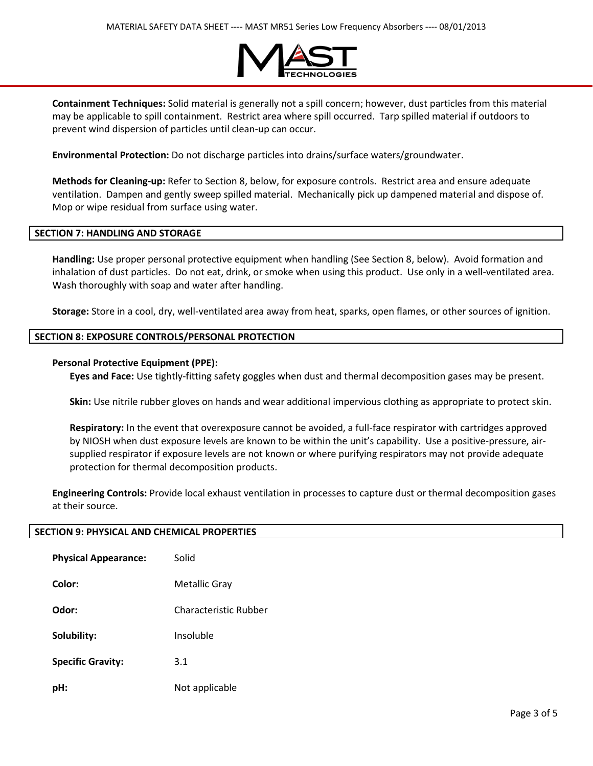

**Containment Techniques:** Solid material is generally not a spill concern; however, dust particles from this material may be applicable to spill containment. Restrict area where spill occurred. Tarp spilled material if outdoors to prevent wind dispersion of particles until clean-up can occur.

**Environmental Protection:** Do not discharge particles into drains/surface waters/groundwater.

**Methods for Cleaning-up:** Refer to Section 8, below, for exposure controls. Restrict area and ensure adequate ventilation. Dampen and gently sweep spilled material. Mechanically pick up dampened material and dispose of. Mop or wipe residual from surface using water.

### **SECTION 7: HANDLING AND STORAGE**

**Handling:** Use proper personal protective equipment when handling (See Section 8, below). Avoid formation and inhalation of dust particles. Do not eat, drink, or smoke when using this product. Use only in a well-ventilated area. Wash thoroughly with soap and water after handling.

**Storage:** Store in a cool, dry, well-ventilated area away from heat, sparks, open flames, or other sources of ignition.

### **SECTION 8: EXPOSURE CONTROLS/PERSONAL PROTECTION**

### **Personal Protective Equipment (PPE):**

**Eyes and Face:** Use tightly-fitting safety goggles when dust and thermal decomposition gases may be present.

**Skin:** Use nitrile rubber gloves on hands and wear additional impervious clothing as appropriate to protect skin.

**Respiratory:** In the event that overexposure cannot be avoided, a full-face respirator with cartridges approved by NIOSH when dust exposure levels are known to be within the unit's capability. Use a positive-pressure, airsupplied respirator if exposure levels are not known or where purifying respirators may not provide adequate protection for thermal decomposition products.

**Engineering Controls:** Provide local exhaust ventilation in processes to capture dust or thermal decomposition gases at their source.

# **SECTION 9: PHYSICAL AND CHEMICAL PROPERTIES**

| <b>Physical Appearance:</b> | Solid                 |
|-----------------------------|-----------------------|
| Color:                      | Metallic Gray         |
| Odor:                       | Characteristic Rubber |
| Solubility:                 | Insoluble             |
| <b>Specific Gravity:</b>    | 3.1                   |
| pH:                         | Not applicable        |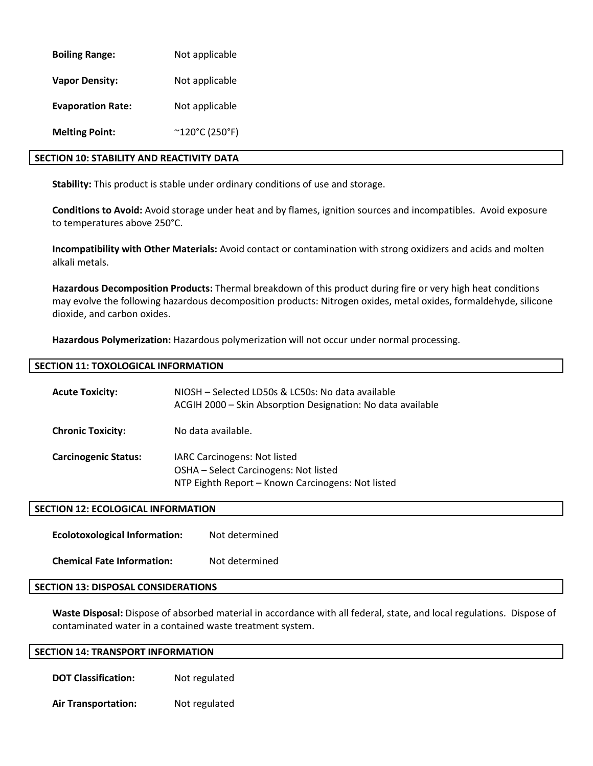| <b>Boiling Range:</b>    | Not applicable          |
|--------------------------|-------------------------|
| <b>Vapor Density:</b>    | Not applicable          |
| <b>Evaporation Rate:</b> | Not applicable          |
| <b>Melting Point:</b>    | $^{\sim}$ 120°C (250°F) |

# **SECTION 10: STABILITY AND REACTIVITY DATA**

**Stability:** This product is stable under ordinary conditions of use and storage.

**Conditions to Avoid:** Avoid storage under heat and by flames, ignition sources and incompatibles. Avoid exposure to temperatures above 250°C.

**Incompatibility with Other Materials:** Avoid contact or contamination with strong oxidizers and acids and molten alkali metals.

**Hazardous Decomposition Products:** Thermal breakdown of this product during fire or very high heat conditions may evolve the following hazardous decomposition products: Nitrogen oxides, metal oxides, formaldehyde, silicone dioxide, and carbon oxides.

**Hazardous Polymerization:** Hazardous polymerization will not occur under normal processing.

# **SECTION 11: TOXOLOGICAL INFORMATION**

| <b>Acute Toxicity:</b>      | NIOSH – Selected LD50s & LC50s: No data available<br>ACGIH 2000 - Skin Absorption Designation: No data available           |
|-----------------------------|----------------------------------------------------------------------------------------------------------------------------|
| <b>Chronic Toxicity:</b>    | No data available.                                                                                                         |
| <b>Carcinogenic Status:</b> | IARC Carcinogens: Not listed<br>OSHA - Select Carcinogens: Not listed<br>NTP Eighth Report - Known Carcinogens: Not listed |

### **SECTION 12: ECOLOGICAL INFORMATION**

**Ecolotoxological Information:** Not determined

**Chemical Fate Information:** Not determined

### **SECTION 13: DISPOSAL CONSIDERATIONS**

**Waste Disposal:** Dispose of absorbed material in accordance with all federal, state, and local regulations. Dispose of contaminated water in a contained waste treatment system.

### **SECTION 14: TRANSPORT INFORMATION**

**DOT Classification:** Not regulated

**Air Transportation:** Not regulated